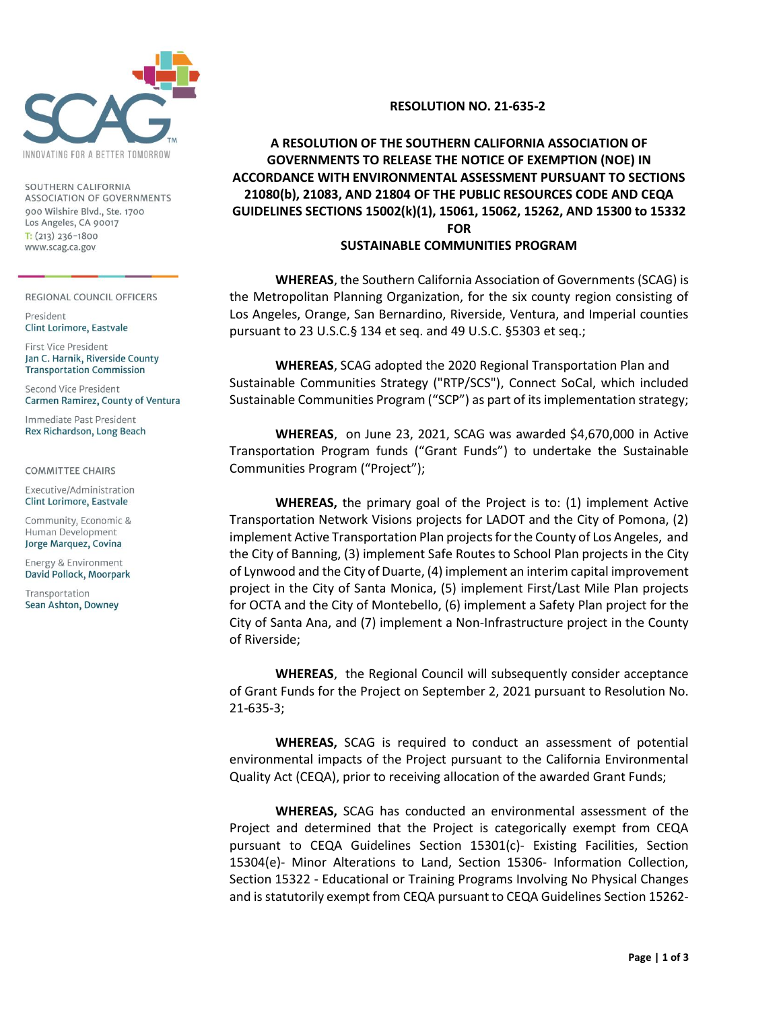

SOUTHERN CALIFORNIA ASSOCIATION OF GOVERNMENTS 900 Wilshire Blvd., Ste. 1700 Los Angeles, CA 90017  $T: (213)$  236-1800 www.scag.ca.gov

REGIONAL COUNCIL OFFICERS

President Clint Lorimore, Eastvale

First Vice President Jan C. Harnik, Riverside County **Transportation Commission** 

Second Vice President Carmen Ramirez, County of Ventura

Immediate Past President Rex Richardson, Long Beach

**COMMITTEE CHAIRS** 

Executive/Administration Clint Lorimore, Eastvale

Community, Economic & Human Development Jorge Marquez, Covina

Energy & Environment David Pollock, Moorpark

Transportation Sean Ashton, Downey

## **RESOLUTION NO. 21-635-2**

## **A RESOLUTION OF THE SOUTHERN CALIFORNIA ASSOCIATION OF GOVERNMENTS TO RELEASE THE NOTICE OF EXEMPTION (NOE) IN ACCORDANCE WITH ENVIRONMENTAL ASSESSMENT PURSUANT TO SECTIONS 21080(b), 21083, AND 21804 OF THE PUBLIC RESOURCES CODE AND CEQA GUIDELINES SECTIONS 15002(k)(1), 15061, 15062, 15262, AND 15300 to 15332 FOR**

## **SUSTAINABLE COMMUNITIES PROGRAM**

**WHEREAS**, the Southern California Association of Governments (SCAG) is the Metropolitan Planning Organization, for the six county region consisting of Los Angeles, Orange, San Bernardino, Riverside, Ventura, and Imperial counties pursuant to 23 U.S.C.§ 134 et seq. and 49 U.S.C. §5303 et seq.;

**WHEREAS**, SCAG adopted the 2020 Regional Transportation Plan and Sustainable Communities Strategy ("RTP/SCS"), Connect SoCal, which included Sustainable Communities Program ("SCP") as part of its implementation strategy;

**WHEREAS**, on June 23, 2021, SCAG was awarded \$4,670,000 in Active Transportation Program funds ("Grant Funds") to undertake the Sustainable Communities Program ("Project");

**WHEREAS,** the primary goal of the Project is to: (1) implement Active Transportation Network Visions projects for LADOT and the City of Pomona, (2) implement Active Transportation Plan projects for the County of Los Angeles, and the City of Banning, (3) implement Safe Routes to School Plan projects in the City of Lynwood and the City of Duarte, (4) implement an interim capital improvement project in the City of Santa Monica, (5) implement First/Last Mile Plan projects for OCTA and the City of Montebello, (6) implement a Safety Plan project for the City of Santa Ana, and (7) implement a Non-Infrastructure project in the County of Riverside;

**WHEREAS**, the Regional Council will subsequently consider acceptance of Grant Funds for the Project on September 2, 2021 pursuant to Resolution No. 21-635-3;

**WHEREAS,** SCAG is required to conduct an assessment of potential environmental impacts of the Project pursuant to the California Environmental Quality Act (CEQA), prior to receiving allocation of the awarded Grant Funds;

**WHEREAS,** SCAG has conducted an environmental assessment of the Project and determined that the Project is categorically exempt from CEQA pursuant to CEQA Guidelines Section 15301(c)‐ Existing Facilities, Section 15304(e)‐ Minor Alterations to Land, Section 15306‐ Information Collection, Section 15322 - Educational or Training Programs Involving No Physical Changes and is statutorily exempt from CEQA pursuant to CEQA Guidelines Section 15262‐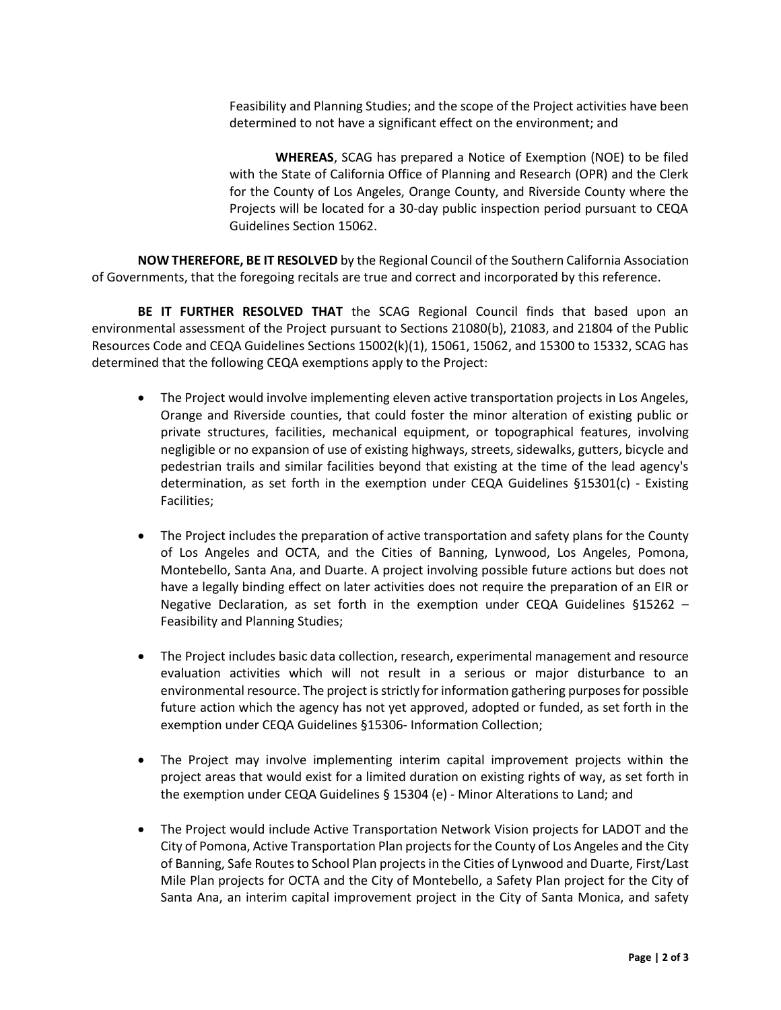Feasibility and Planning Studies; and the scope of the Project activities have been determined to not have a significant effect on the environment; and

**WHEREAS**, SCAG has prepared a Notice of Exemption (NOE) to be filed with the State of California Office of Planning and Research (OPR) and the Clerk for the County of Los Angeles, Orange County, and Riverside County where the Projects will be located for a 30‐day public inspection period pursuant to CEQA Guidelines Section 15062.

**NOW THEREFORE, BE IT RESOLVED** by the Regional Council of the Southern California Association of Governments, that the foregoing recitals are true and correct and incorporated by this reference.

**BE IT FURTHER RESOLVED THAT** the SCAG Regional Council finds that based upon an environmental assessment of the Project pursuant to Sections 21080(b), 21083, and 21804 of the Public Resources Code and CEQA Guidelines Sections 15002(k)(1), 15061, 15062, and 15300 to 15332, SCAG has determined that the following CEQA exemptions apply to the Project:

- The Project would involve implementing eleven active transportation projects in Los Angeles, Orange and Riverside counties, that could foster the minor alteration of existing public or private structures, facilities, mechanical equipment, or topographical features, involving negligible or no expansion of use of existing highways, streets, sidewalks, gutters, bicycle and pedestrian trails and similar facilities beyond that existing at the time of the lead agency's determination, as set forth in the exemption under CEQA Guidelines §15301(c) ‐ Existing Facilities;
- The Project includes the preparation of active transportation and safety plans for the County of Los Angeles and OCTA, and the Cities of Banning, Lynwood, Los Angeles, Pomona, Montebello, Santa Ana, and Duarte. A project involving possible future actions but does not have a legally binding effect on later activities does not require the preparation of an EIR or Negative Declaration, as set forth in the exemption under CEQA Guidelines §15262 – Feasibility and Planning Studies;
- The Project includes basic data collection, research, experimental management and resource evaluation activities which will not result in a serious or major disturbance to an environmental resource. The project is strictly for information gathering purposes for possible future action which the agency has not yet approved, adopted or funded, as set forth in the exemption under CEQA Guidelines §15306‐ Information Collection;
- The Project may involve implementing interim capital improvement projects within the project areas that would exist for a limited duration on existing rights of way, as set forth in the exemption under CEQA Guidelines § 15304 (e) ‐ Minor Alterations to Land; and
- The Project would include Active Transportation Network Vision projects for LADOT and the City of Pomona, Active Transportation Plan projects for the County of Los Angeles and the City of Banning, Safe Routes to School Plan projects in the Cities of Lynwood and Duarte, First/Last Mile Plan projects for OCTA and the City of Montebello, a Safety Plan project for the City of Santa Ana, an interim capital improvement project in the City of Santa Monica, and safety